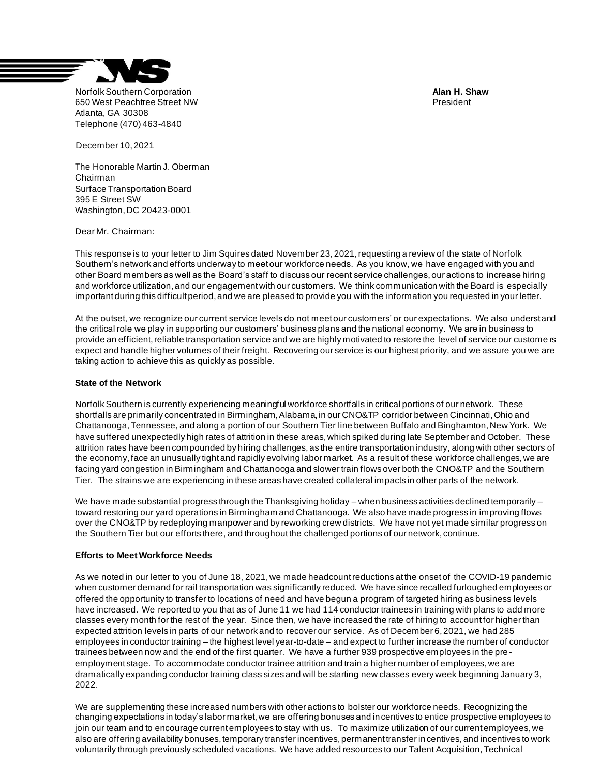

Norfolk Southern Corporation **Alan H. Shaw** 650 West Peachtree Street NW Atlanta, GA 30308 Telephone (470) 463-4840

December 10, 2021

The Honorable Martin J. Oberman Chairman Surface Transportation Board 395 E Street SW Washington, DC 20423-0001

Dear Mr. Chairman:

This response is to your letter to Jim Squires dated November 23, 2021, requesting a review of the state of Norfolk Southern's network and efforts underway to meet our workforce needs. As you know, we have engaged with you and other Board members as well as the Board's staff to discuss our recent service challenges, our actions to increase hiring and workforce utilization, and our engagement with our customers. We think communication with the Board is especially important during this difficult period, and we are pleased to provide you with the information you requested in your letter.

At the outset, we recognize our current service levels do not meet our customers' or our expectations. We also understand the critical role we play in supporting our customers' business plans and the national economy. We are in business to provide an efficient, reliable transportation service and we are highly motivated to restore the level of service our custome rs expect and handle higher volumes of their freight. Recovering our service is our highest priority, and we assure you we are taking action to achieve this as quickly as possible.

## **State of the Network**

Norfolk Southern is currently experiencing meaningful workforce shortfalls in critical portions of our network. These shortfalls are primarily concentrated in Birmingham, Alabama, in our CNO&TP corridor between Cincinnati, Ohio and Chattanooga, Tennessee, and along a portion of our Southern Tier line between Buffalo and Binghamton, New York. We have suffered unexpectedly high rates of attrition in these areas, which spiked during late September and October. These attrition rates have been compounded by hiring challenges, as the entire transportation industry, along with other sectors of the economy, face an unusually tight and rapidly evolving labor market. As a result of these workforce challenges, we are facing yard congestion in Birmingham and Chattanooga and slower train flows over both the CNO&TP and the Southern Tier. The strains we are experiencing in these areas have created collateral impacts in other parts of the network.

We have made substantial progress through the Thanksgiving holiday – when business activities declined temporarily – toward restoring our yard operations in Birmingham and Chattanooga. We also have made progress in improving flows over the CNO&TP by redeploying manpower and by reworking crew districts. We have not yet made similar progress on the Southern Tier but our efforts there, and throughout the challenged portions of our network, continue.

## **Efforts to Meet Workforce Needs**

As we noted in our letter to you of June 18, 2021, we made headcount reductions at the onset of the COVID-19 pandemic when customer demand for rail transportation was significantly reduced. We have since recalled furloughed employees or offered the opportunity to transfer to locations of need and have begun a program of targeted hiring as business levels have increased. We reported to you that as of June 11 we had 114 conductor trainees in training with plans to add more classes every month for the rest of the year. Since then, we have increased the rate of hiring to account for higher than expected attrition levels in parts of our network and to recover our service. As of December 6, 2021, we had 285 employees in conductor training – the highest level year-to-date – and expect to further increase the number of conductor trainees between now and the end of the first quarter. We have a further 939 prospective employees in the preemployment stage. To accommodate conductor trainee attrition and train a higher number of employees, we are dramatically expanding conductor training class sizes and will be starting new classes every week beginning January 3, 2022.

We are supplementing these increased numbers with other actions to bolster our workforce needs. Recognizing the changing expectations in today's labor market, we are offering bonuses and incentives to entice prospective employees to join our team and to encourage current employees to stay with us. To maximize utilization of our current employees, we also are offering availability bonuses, temporary transfer incentives, permanent transfer incentives, and incentives to work voluntarily through previously scheduled vacations. We have added resources to our Talent Acquisition, Technical